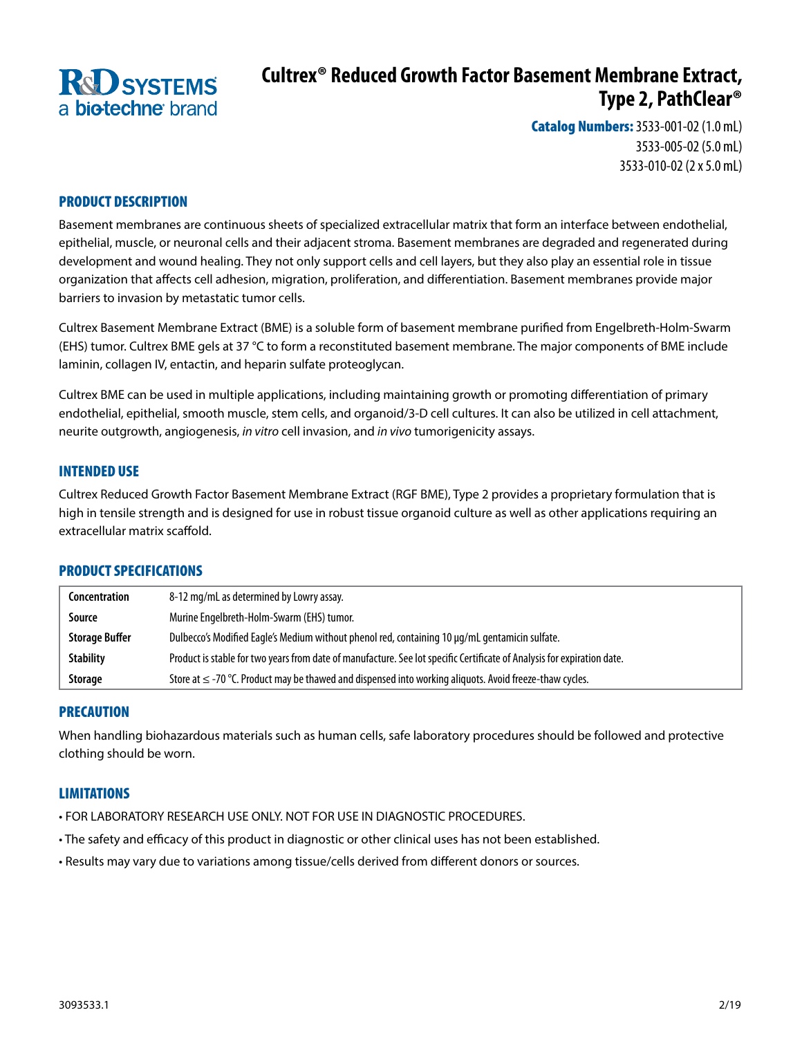

# **Cultrex® Reduced Growth Factor Basement Membrane Extract, Type 2, PathClear®**

Catalog Numbers: 3533-001-02 (1.0 mL) 3533-005-02 (5.0 mL) 3533-010-02 (2 x 5.0 mL)

# PRODUCT DESCRIPTION

Basement membranes are continuous sheets of specialized extracellular matrix that form an interface between endothelial, epithelial, muscle, or neuronal cells and their adjacent stroma. Basement membranes are degraded and regenerated during development and wound healing. They not only support cells and cell layers, but they also play an essential role in tissue organization that affects cell adhesion, migration, proliferation, and differentiation. Basement membranes provide major barriers to invasion by metastatic tumor cells.

Cultrex Basement Membrane Extract (BME) is a soluble form of basement membrane purified from Engelbreth-Holm-Swarm (EHS) tumor. Cultrex BME gels at 37 °C to form a reconstituted basement membrane. The major components of BME include laminin, collagen IV, entactin, and heparin sulfate proteoglycan.

Cultrex BME can be used in multiple applications, including maintaining growth or promoting differentiation of primary endothelial, epithelial, smooth muscle, stem cells, and organoid/3-D cell cultures. It can also be utilized in cell attachment, neurite outgrowth, angiogenesis, *in vitro* cell invasion, and *in vivo* tumorigenicity assays.

#### INTENDED USE

Cultrex Reduced Growth Factor Basement Membrane Extract (RGF BME), Type 2 provides a proprietary formulation that is high in tensile strength and is designed for use in robust tissue organoid culture as well as other applications requiring an extracellular matrix scaffold.

## PRODUCT SPECIFICATIONS

| Concentration         | 8-12 mg/mL as determined by Lowry assay.                                                                                |
|-----------------------|-------------------------------------------------------------------------------------------------------------------------|
| Source                | Murine Engelbreth-Holm-Swarm (EHS) tumor.                                                                               |
| <b>Storage Buffer</b> | Dulbecco's Modified Eagle's Medium without phenol red, containing 10 µg/mL gentamicin sulfate.                          |
| <b>Stability</b>      | Product is stable for two years from date of manufacture. See lot specific Certificate of Analysis for expiration date. |
| Storage               | Store at $\leq$ -70 °C. Product may be thawed and dispensed into working aliguots. Avoid freeze-thaw cycles.            |

## PRECAUTION

When handling biohazardous materials such as human cells, safe laboratory procedures should be followed and protective clothing should be worn.

## LIMITATIONS

- FOR LABORATORY RESEARCH USE ONLY. NOT FOR USE IN DIAGNOSTIC PROCEDURES.
- The safety and efficacy of this product in diagnostic or other clinical uses has not been established.
- Results may vary due to variations among tissue/cells derived from different donors or sources.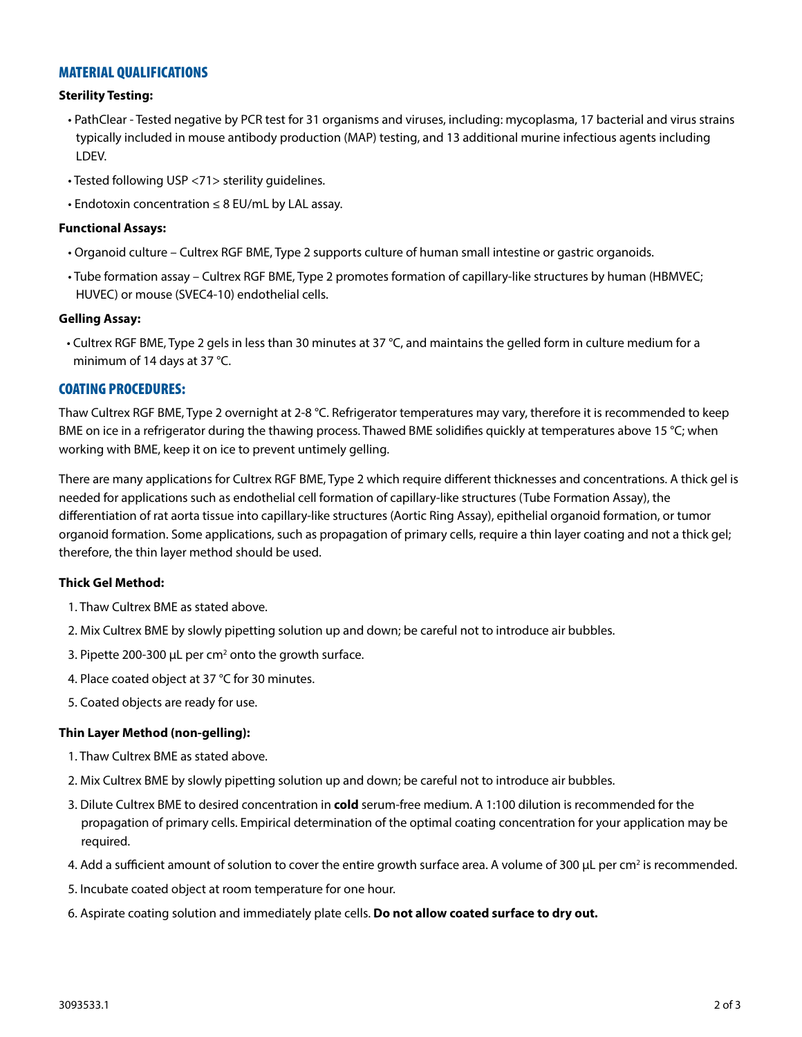# MATERIAL QUALIFICATIONS

#### **Sterility Testing:**

- PathClear Tested negative by PCR test for 31 organisms and viruses, including: mycoplasma, 17 bacterial and virus strains typically included in mouse antibody production (MAP) testing, and 13 additional murine infectious agents including LDEV.
- Tested following USP <71> sterility guidelines.
- Endotoxin concentration ≤ 8 EU/mL by LAL assay.

#### **Functional Assays:**

- Organoid culture Cultrex RGF BME, Type 2 supports culture of human small intestine or gastric organoids.
- Tube formation assay Cultrex RGF BME, Type 2 promotes formation of capillary-like structures by human (HBMVEC; HUVEC) or mouse (SVEC4-10) endothelial cells.

#### **Gelling Assay:**

• Cultrex RGF BME, Type 2 gels in less than 30 minutes at 37 °C, and maintains the gelled form in culture medium for a minimum of 14 days at 37 °C.

# COATING PROCEDURES:

Thaw Cultrex RGF BME, Type 2 overnight at 2-8 °C. Refrigerator temperatures may vary, therefore it is recommended to keep BME on ice in a refrigerator during the thawing process. Thawed BME solidifies quickly at temperatures above 15 °C; when working with BME, keep it on ice to prevent untimely gelling.

There are many applications for Cultrex RGF BME, Type 2 which require different thicknesses and concentrations. A thick gel is needed for applications such as endothelial cell formation of capillary-like structures (Tube Formation Assay), the differentiation of rat aorta tissue into capillary-like structures (Aortic Ring Assay), epithelial organoid formation, or tumor organoid formation. Some applications, such as propagation of primary cells, require a thin layer coating and not a thick gel; therefore, the thin layer method should be used.

## **Thick Gel Method:**

- 1. Thaw Cultrex BME as stated above.
- 2. Mix Cultrex BME by slowly pipetting solution up and down; be careful not to introduce air bubbles.
- 3. Pipette 200-300  $\mu$ L per cm<sup>2</sup> onto the growth surface.
- 4. Place coated object at 37 °C for 30 minutes.
- 5. Coated objects are ready for use.

## **Thin Layer Method (non-gelling):**

- 1. Thaw Cultrex BME as stated above.
- 2. Mix Cultrex BME by slowly pipetting solution up and down; be careful not to introduce air bubbles.
- 3. Dilute Cultrex BME to desired concentration in **cold** serum-free medium. A 1:100 dilution is recommended for the propagation of primary cells. Empirical determination of the optimal coating concentration for your application may be required.
- 4. Add a sufficient amount of solution to cover the entire growth surface area. A volume of 300 µL per cm<sup>2</sup> is recommended.
- 5. Incubate coated object at room temperature for one hour.
- 6. Aspirate coating solution and immediately plate cells. **Do not allow coated surface to dry out.**